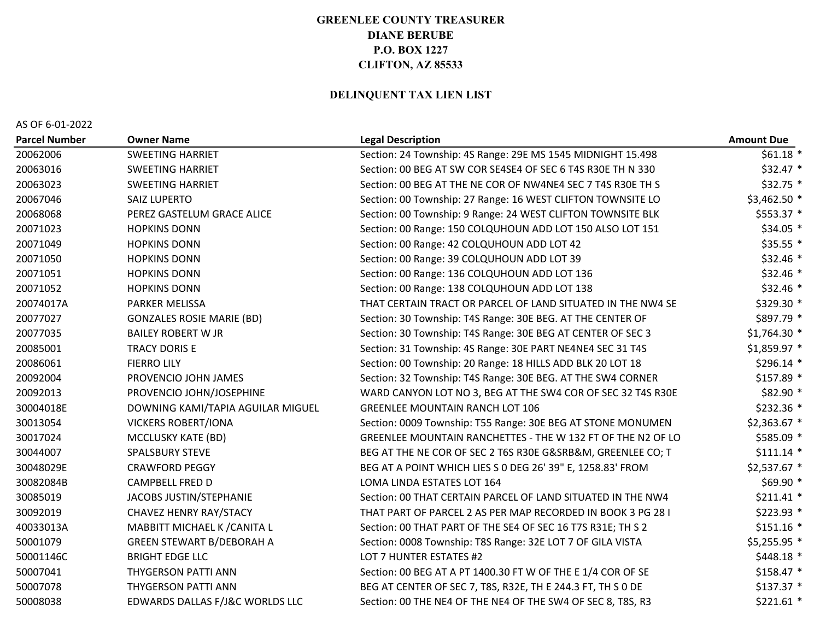## **GREENLEE COUNTY TREASURER DIANE BERUBE P.O. BOX 1227 CLIFTON, AZ 85533**

## **DELINQUENT TAX LIEN LIST**

AS OF 6-01-2022

| <b>Parcel Number</b> | <b>Owner Name</b>                 | <b>Legal Description</b>                                    | <b>Amount Due</b> |
|----------------------|-----------------------------------|-------------------------------------------------------------|-------------------|
| 20062006             | <b>SWEETING HARRIET</b>           | Section: 24 Township: 4S Range: 29E MS 1545 MIDNIGHT 15.498 | $$61.18$ *        |
| 20063016             | <b>SWEETING HARRIET</b>           | Section: 00 BEG AT SW COR SE4SE4 OF SEC 6 T4S R30E TH N 330 | $$32.47$ *        |
| 20063023             | <b>SWEETING HARRIET</b>           | Section: 00 BEG AT THE NE COR OF NW4NE4 SEC 7 T4S R30E TH S | $$32.75$ *        |
| 20067046             | <b>SAIZ LUPERTO</b>               | Section: 00 Township: 27 Range: 16 WEST CLIFTON TOWNSITE LO | \$3,462.50 *      |
| 20068068             | PEREZ GASTELUM GRACE ALICE        | Section: 00 Township: 9 Range: 24 WEST CLIFTON TOWNSITE BLK | \$553.37 *        |
| 20071023             | <b>HOPKINS DONN</b>               | Section: 00 Range: 150 COLQUHOUN ADD LOT 150 ALSO LOT 151   | $$34.05$ *        |
| 20071049             | <b>HOPKINS DONN</b>               | Section: 00 Range: 42 COLQUHOUN ADD LOT 42                  | $$35.55$ *        |
| 20071050             | <b>HOPKINS DONN</b>               | Section: 00 Range: 39 COLQUHOUN ADD LOT 39                  | $$32.46$ *        |
| 20071051             | <b>HOPKINS DONN</b>               | Section: 00 Range: 136 COLQUHOUN ADD LOT 136                | $$32.46$ *        |
| 20071052             | <b>HOPKINS DONN</b>               | Section: 00 Range: 138 COLQUHOUN ADD LOT 138                | $$32.46$ *        |
| 20074017A            | PARKER MELISSA                    | THAT CERTAIN TRACT OR PARCEL OF LAND SITUATED IN THE NW4 SE | \$329.30 *        |
| 20077027             | <b>GONZALES ROSIE MARIE (BD)</b>  | Section: 30 Township: T4S Range: 30E BEG. AT THE CENTER OF  | \$897.79 *        |
| 20077035             | <b>BAILEY ROBERT W JR</b>         | Section: 30 Township: T4S Range: 30E BEG AT CENTER OF SEC 3 | \$1,764.30 *      |
| 20085001             | <b>TRACY DORIS E</b>              | Section: 31 Township: 4S Range: 30E PART NE4NE4 SEC 31 T4S  | \$1,859.97 *      |
| 20086061             | <b>FIERRO LILY</b>                | Section: 00 Township: 20 Range: 18 HILLS ADD BLK 20 LOT 18  | $$296.14$ *       |
| 20092004             | PROVENCIO JOHN JAMES              | Section: 32 Township: T4S Range: 30E BEG. AT THE SW4 CORNER | $$157.89$ *       |
| 20092013             | PROVENCIO JOHN/JOSEPHINE          | WARD CANYON LOT NO 3, BEG AT THE SW4 COR OF SEC 32 T4S R30E | $$82.90$ *        |
| 30004018E            | DOWNING KAMI/TAPIA AGUILAR MIGUEL | <b>GREENLEE MOUNTAIN RANCH LOT 106</b>                      | $$232.36$ *       |
| 30013054             | <b>VICKERS ROBERT/IONA</b>        | Section: 0009 Township: T55 Range: 30E BEG AT STONE MONUMEN | \$2,363.67 *      |
| 30017024             | MCCLUSKY KATE (BD)                | GREENLEE MOUNTAIN RANCHETTES - THE W 132 FT OF THE N2 OF LO | \$585.09 *        |
| 30044007             | <b>SPALSBURY STEVE</b>            | BEG AT THE NE COR OF SEC 2 T6S R30E G&SRB&M, GREENLEE CO; T | $$111.14$ *       |
| 30048029E            | <b>CRAWFORD PEGGY</b>             | BEG AT A POINT WHICH LIES S 0 DEG 26' 39" E, 1258.83' FROM  | \$2,537.67 *      |
| 30082084B            | <b>CAMPBELL FRED D</b>            | LOMA LINDA ESTATES LOT 164                                  | $$69.90$ *        |
| 30085019             | JACOBS JUSTIN/STEPHANIE           | Section: 00 THAT CERTAIN PARCEL OF LAND SITUATED IN THE NW4 | $$211.41$ *       |
| 30092019             | CHAVEZ HENRY RAY/STACY            | THAT PART OF PARCEL 2 AS PER MAP RECORDED IN BOOK 3 PG 28 I | $$223.93$ *       |
| 40033013A            | MABBITT MICHAEL K / CANITA L      | Section: 00 THAT PART OF THE SE4 OF SEC 16 T7S R31E; TH S 2 | $$151.16$ *       |
| 50001079             | <b>GREEN STEWART B/DEBORAH A</b>  | Section: 0008 Township: T8S Range: 32E LOT 7 OF GILA VISTA  | \$5,255.95 *      |
| 50001146C            | <b>BRIGHT EDGE LLC</b>            | LOT 7 HUNTER ESTATES #2                                     | $$448.18$ *       |
| 50007041             | THYGERSON PATTI ANN               | Section: 00 BEG AT A PT 1400.30 FT W OF THE E 1/4 COR OF SE | $$158.47$ *       |
| 50007078             | THYGERSON PATTI ANN               | BEG AT CENTER OF SEC 7, T8S, R32E, TH E 244.3 FT, TH S 0 DE | $$137.37$ *       |
| 50008038             | EDWARDS DALLAS F/J&C WORLDS LLC   | Section: 00 THE NE4 OF THE NE4 OF THE SW4 OF SEC 8, T8S, R3 | $$221.61$ *       |